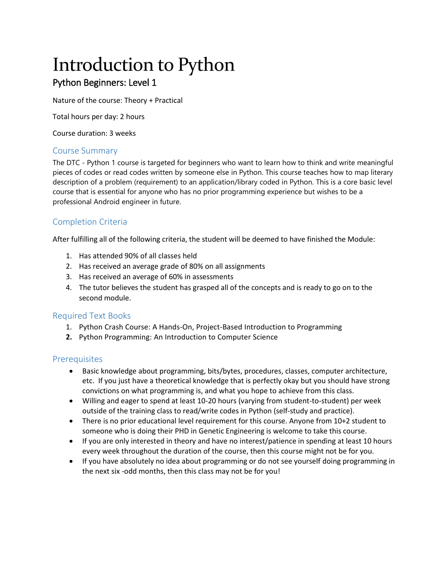# Introduction to Python

# Python Beginners: Level 1

Nature of the course: Theory + Practical

Total hours per day: 2 hours

Course duration: 3 weeks

## Course Summary

The DTC - Python 1 course is targeted for beginners who want to learn how to think and write meaningful pieces of codes or read codes written by someone else in Python. This course teaches how to map literary description of a problem (requirement) to an application/library coded in Python. This is a core basic level course that is essential for anyone who has no prior programming experience but wishes to be a professional Android engineer in future.

# Completion Criteria

After fulfilling all of the following criteria, the student will be deemed to have finished the Module:

- 1. Has attended 90% of all classes held
- 2. Has received an average grade of 80% on all assignments
- 3. Has received an average of 60% in assessments
- 4. The tutor believes the student has grasped all of the concepts and is ready to go on to the second module.

#### Required Text Books

- 1. Python Crash Course: A Hands-On, Project-Based Introduction to Programming
- **2.** Python Programming: An Introduction to Computer Science

## Prerequisites

- Basic knowledge about programming, bits/bytes, procedures, classes, computer architecture, etc. If you just have a theoretical knowledge that is perfectly okay but you should have strong convictions on what programming is, and what you hope to achieve from this class.
- Willing and eager to spend at least 10-20 hours (varying from student-to-student) per week outside of the training class to read/write codes in Python (self-study and practice).
- There is no prior educational level requirement for this course. Anyone from 10+2 student to someone who is doing their PHD in Genetic Engineering is welcome to take this course.
- If you are only interested in theory and have no interest/patience in spending at least 10 hours every week throughout the duration of the course, then this course might not be for you.
- If you have absolutely no idea about programming or do not see yourself doing programming in the next six -odd months, then this class may not be for you!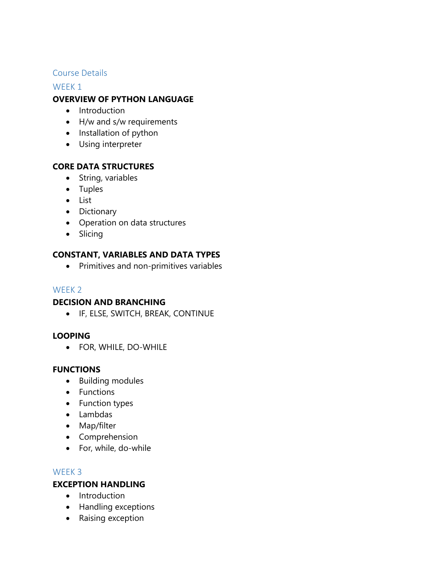## Course Details

#### WEEK<sub>1</sub>

# **OVERVIEW OF PYTHON LANGUAGE**

- Introduction
- H/w and s/w requirements
- Installation of python
- Using interpreter

## **CORE DATA STRUCTURES**

- String, variables
- Tuples
- List
- Dictionary
- Operation on data structures
- Slicing

# **CONSTANT, VARIABLES AND DATA TYPES**

Primitives and non-primitives variables

## WEEK 2

#### **DECISION AND BRANCHING**

IF, ELSE, SWITCH, BREAK, CONTINUE

## **LOOPING**

FOR, WHILE, DO-WHILE

#### **FUNCTIONS**

- Building modules
- Functions
- Function types
- Lambdas
- Map/filter
- Comprehension
- For, while, do-while

#### WEEK 3

#### **EXCEPTION HANDLING**

- Introduction
- Handling exceptions
- Raising exception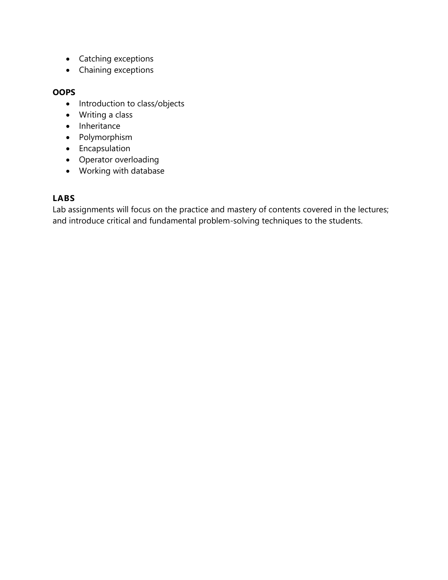- Catching exceptions
- Chaining exceptions

## **OOPS**

- Introduction to class/objects
- Writing a class
- Inheritance
- Polymorphism
- **•** Encapsulation
- Operator overloading
- Working with database

# **LABS**

Lab assignments will focus on the practice and mastery of contents covered in the lectures; and introduce critical and fundamental problem-solving techniques to the students.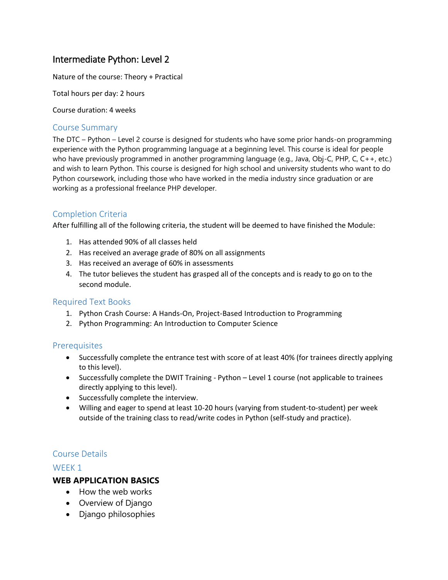# Intermediate Python: Level 2

Nature of the course: Theory + Practical

Total hours per day: 2 hours

Course duration: 4 weeks

#### Course Summary

The DTC – Python – Level 2 course is designed for students who have some prior hands-on programming experience with the Python programming language at a beginning level. This course is ideal for people who have previously programmed in another programming language (e.g., Java, Obj-C, PHP, C, C++, etc.) and wish to learn Python. This course is designed for high school and university students who want to do Python coursework, including those who have worked in the media industry since graduation or are working as a professional freelance PHP developer.

# Completion Criteria

After fulfilling all of the following criteria, the student will be deemed to have finished the Module:

- 1. Has attended 90% of all classes held
- 2. Has received an average grade of 80% on all assignments
- 3. Has received an average of 60% in assessments
- 4. The tutor believes the student has grasped all of the concepts and is ready to go on to the second module.

#### Required Text Books

- 1. Python Crash Course: A Hands-On, Project-Based Introduction to Programming
- 2. Python Programming: An Introduction to Computer Science

#### **Prerequisites**

- Successfully complete the entrance test with score of at least 40% (for trainees directly applying to this level).
- Successfully complete the DWIT Training Python Level 1 course (not applicable to trainees directly applying to this level).
- Successfully complete the interview.
- Willing and eager to spend at least 10-20 hours (varying from student-to-student) per week outside of the training class to read/write codes in Python (self-study and practice).

## Course Details

#### WEEK 1

## **WEB APPLICATION BASICS**

- How the web works
- Overview of Django
- Django philosophies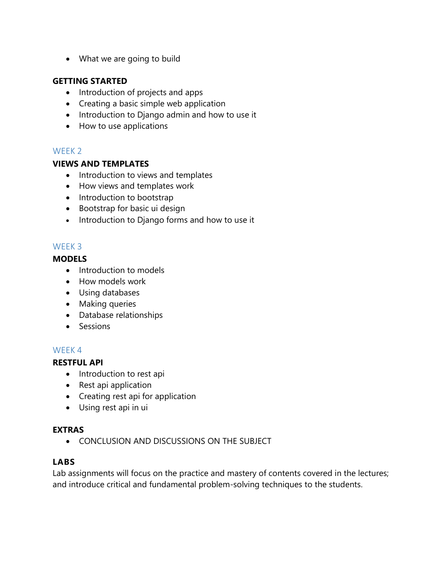What we are going to build

# **GETTING STARTED**

- Introduction of projects and apps
- Creating a basic simple web application
- Introduction to Django admin and how to use it
- How to use applications

# WFFK<sub>2</sub>

## **VIEWS AND TEMPLATES**

- Introduction to views and templates
- How views and templates work
- Introduction to bootstrap
- Bootstrap for basic ui design
- Introduction to Django forms and how to use it

# WEEK 3

# **MODELS**

- Introduction to models
- How models work
- Using databases
- Making queries
- Database relationships
- Sessions

# WEEK 4

## **RESTFUL API**

- Introduction to rest api
- Rest api application
- Creating rest api for application
- Using rest api in ui

## **EXTRAS**

**CONCLUSION AND DISCUSSIONS ON THE SUBJECT** 

## **LABS**

Lab assignments will focus on the practice and mastery of contents covered in the lectures; and introduce critical and fundamental problem-solving techniques to the students.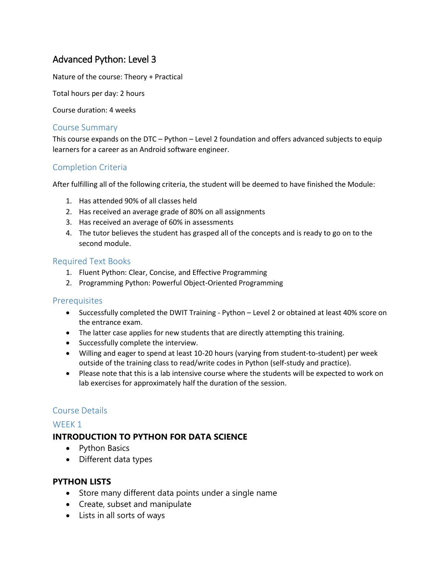# Advanced Python: Level 3

Nature of the course: Theory + Practical

Total hours per day: 2 hours

Course duration: 4 weeks

#### Course Summary

This course expands on the DTC – Python – Level 2 foundation and offers advanced subjects to equip learners for a career as an Android software engineer.

# Completion Criteria

After fulfilling all of the following criteria, the student will be deemed to have finished the Module:

- 1. Has attended 90% of all classes held
- 2. Has received an average grade of 80% on all assignments
- 3. Has received an average of 60% in assessments
- 4. The tutor believes the student has grasped all of the concepts and is ready to go on to the second module.

#### Required Text Books

- 1. Fluent Python: Clear, Concise, and Effective Programming
- 2. [Programming Python: Powerful Object-Oriented Programming](http://geni.us/YWSzZ)

#### **Prerequisites**

- Successfully completed the DWIT Training Python Level 2 or obtained at least 40% score on the entrance exam.
- The latter case applies for new students that are directly attempting this training.
- Successfully complete the interview.
- Willing and eager to spend at least 10-20 hours (varying from student-to-student) per week outside of the training class to read/write codes in Python (self-study and practice).
- Please note that this is a lab intensive course where the students will be expected to work on lab exercises for approximately half the duration of the session.

#### Course Details

#### WEEK 1

## **INTRODUCTION TO PYTHON FOR DATA SCIENCE**

- Python Basics
- Different data types

#### **PYTHON LISTS**

- Store many different data points under a single name
- Create, subset and manipulate
- Lists in all sorts of ways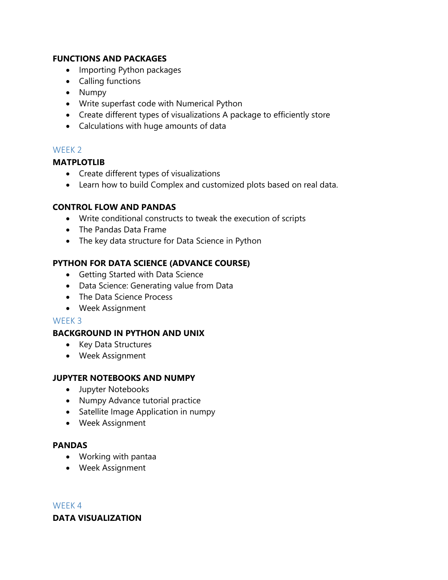## **FUNCTIONS AND PACKAGES**

- Importing Python packages
- Calling functions
- Numpy
- Write superfast code with Numerical Python
- Create different types of visualizations A package to efficiently store
- Calculations with huge amounts of data

# WFFK<sub>2</sub>

# **MATPLOTLIB**

- Create different types of visualizations
- Learn how to build Complex and customized plots based on real data.

## **CONTROL FLOW AND PANDAS**

- Write conditional constructs to tweak the execution of scripts
- The Pandas Data Frame
- The key data structure for Data Science in Python

## **PYTHON FOR DATA SCIENCE (ADVANCE COURSE)**

- Getting Started with Data Science
- Data Science: Generating value from Data
- The Data Science Process
- Week Assignment

#### WEEK 3

## **BACKGROUND IN PYTHON AND UNIX**

- Key Data Structures
- Week Assignment

## **JUPYTER NOTEBOOKS AND NUMPY**

- Jupyter Notebooks
- Numpy Advance tutorial practice
- Satellite Image Application in numpy
- Week Assignment

## **PANDAS**

- Working with pantaa
- Week Assignment

#### WEEK 4

## **DATA VISUALIZATION**